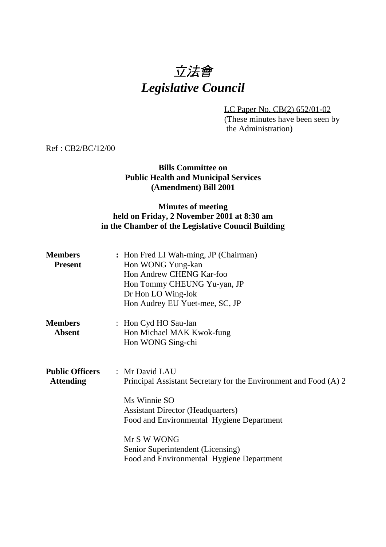# 立法會 *Legislative Council*

LC Paper No. CB(2) 652/01-02 (These minutes have been seen by the Administration)

Ref : CB2/BC/12/00

### **Bills Committee on Public Health and Municipal Services (Amendment) Bill 2001**

## **Minutes of meeting held on Friday, 2 November 2001 at 8:30 am in the Chamber of the Legislative Council Building**

| <b>Members</b><br><b>Present</b>           | : Hon Fred LI Wah-ming, JP (Chairman)<br>Hon WONG Yung-kan<br>Hon Andrew CHENG Kar-foo<br>Hon Tommy CHEUNG Yu-yan, JP<br>Dr Hon LO Wing-lok<br>Hon Audrey EU Yuet-mee, SC, JP               |
|--------------------------------------------|---------------------------------------------------------------------------------------------------------------------------------------------------------------------------------------------|
| <b>Members</b><br><b>Absent</b>            | : Hon Cyd HO Sau-lan<br>Hon Michael MAK Kwok-fung<br>Hon WONG Sing-chi                                                                                                                      |
| <b>Public Officers</b><br><b>Attending</b> | : Mr David LAU<br>Principal Assistant Secretary for the Environment and Food (A) 2<br>Ms Winnie SO<br><b>Assistant Director (Headquarters)</b><br>Food and Environmental Hygiene Department |
|                                            | Mr S W WONG<br>Senior Superintendent (Licensing)<br>Food and Environmental Hygiene Department                                                                                               |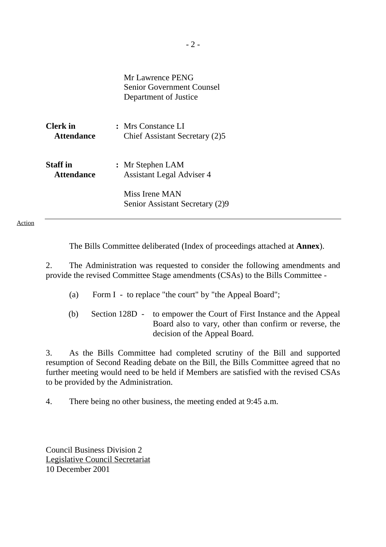| Mr Lawrence PENG                 |
|----------------------------------|
| <b>Senior Government Counsel</b> |
| Department of Justice            |

| <b>Clerk</b> in   | : Mrs Constance LI             |
|-------------------|--------------------------------|
| <b>Attendance</b> | Chief Assistant Secretary (2)5 |
|                   |                                |
|                   |                                |

**Staff in :** Mr Stephen LAM  **Attendance** Assistant Legal Adviser 4

> Miss Irene MAN Senior Assistant Secretary (2)9

#### Action

The Bills Committee deliberated (Index of proceedings attached at **Annex**).

2. The Administration was requested to consider the following amendments and provide the revised Committee Stage amendments (CSAs) to the Bills Committee -

- (a) Form I to replace "the court" by "the Appeal Board";
- (b) Section 128D to empower the Court of First Instance and the Appeal Board also to vary, other than confirm or reverse, the decision of the Appeal Board.

3. As the Bills Committee had completed scrutiny of the Bill and supported resumption of Second Reading debate on the Bill, the Bills Committee agreed that no further meeting would need to be held if Members are satisfied with the revised CSAs to be provided by the Administration.

4. There being no other business, the meeting ended at 9:45 a.m.

Council Business Division 2 Legislative Council Secretariat 10 December 2001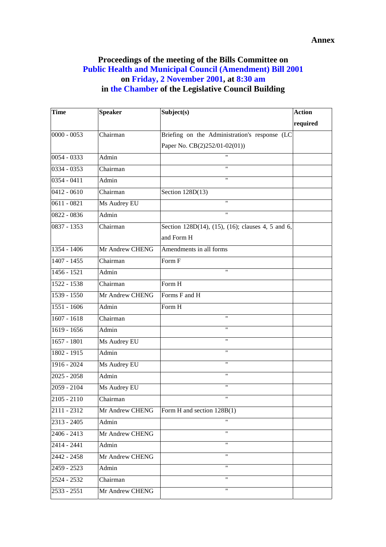## **Proceedings of the meeting of the Bills Committee on Public Health and Municipal Council (Amendment) Bill 2001 on Friday, 2 November 2001, at 8:30 am in the Chamber of the Legislative Council Building**

| <b>Time</b>   | <b>Speaker</b>               | Subject(s)                                        | <b>Action</b> |
|---------------|------------------------------|---------------------------------------------------|---------------|
|               |                              |                                                   | required      |
| $0000 - 0053$ | Chairman                     | Briefing on the Administration's response (LC     |               |
|               |                              | Paper No. CB(2)252/01-02(01))                     |               |
| $0054 - 0333$ | Admin                        | 11                                                |               |
| 0334 - 0353   | Chairman                     | $\mathbf{H}$                                      |               |
| $0354 - 0411$ | Admin                        | $\mathbf{H}$                                      |               |
| $0412 - 0610$ | $\overline{\text{Chairman}}$ | Section 128D(13)                                  |               |
| $0611 - 0821$ | Ms Audrey EU                 | $\mathbf{H}$                                      |               |
| $0822 - 0836$ | Admin                        | $\mathbf{H}$                                      |               |
| $0837 - 1353$ | Chairman                     | Section 128D(14), (15), (16); clauses 4, 5 and 6, |               |
|               |                              | and Form H                                        |               |
| $1354 - 1406$ | Mr Andrew CHENG              | Amendments in all forms                           |               |
| $1407 - 1455$ | Chairman                     | Form F                                            |               |
| 1456 - 1521   | Admin                        | $\pmb{\mathsf{H}}$                                |               |
| $1522 - 1538$ | Chairman                     | Form H                                            |               |
| $1539 - 1550$ | Mr Andrew CHENG              | Forms F and H                                     |               |
| 1551 - 1606   | Admin                        | Form H                                            |               |
| $1607 - 1618$ | Chairman                     | $\pmb{\mathsf{H}}$                                |               |
| 1619 - 1656   | Admin                        | $\pmb{\mathsf{H}}$                                |               |
| 1657 - 1801   | Ms Audrey EU                 | 11                                                |               |
| 1802 - 1915   | Admin                        | $\pmb{\mathsf{H}}$                                |               |
| $1916 - 2024$ | Ms Audrey EU                 | $\pmb{\mathsf{H}}$                                |               |
| $2025 - 2058$ | Admin                        | $\pmb{\mathsf{H}}$                                |               |
| 2059 - 2104   | Ms Audrey EU                 | $\mathbf{H}$                                      |               |
| $2105 - 2110$ | Chairman                     | $\mathbf{H}$                                      |               |
| 2111 - 2312   | Mr Andrew CHENG              | Form H and section 128B(1)                        |               |
| 2313 - 2405   | Admin                        |                                                   |               |
| 2406 - 2413   | Mr Andrew CHENG              | $\pmb{\mathsf{H}}$                                |               |
| 2414 - 2441   | Admin                        | $\pmb{\mathsf{H}}$                                |               |
| 2442 - 2458   | Mr Andrew CHENG              | $\pmb{\mathsf{H}}$                                |               |
| 2459 - 2523   | Admin                        |                                                   |               |
| 2524 - 2532   | Chairman                     | "                                                 |               |
| $2533 - 2551$ | Mr Andrew CHENG              | $\mathbf{H}$                                      |               |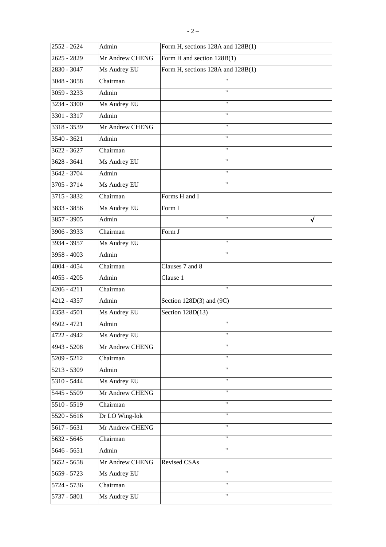| 2552 - 2624   | Admin           | Form H, sections 128A and 128B(1) |            |
|---------------|-----------------|-----------------------------------|------------|
| 2625 - 2829   | Mr Andrew CHENG | Form H and section 128B(1)        |            |
| 2830 - 3047   | Ms Audrey EU    | Form H, sections 128A and 128B(1) |            |
| 3048 - 3058   | Chairman        | 11                                |            |
| 3059 - 3233   | Admin           | $^{\dagger}$                      |            |
| 3234 - 3300   | Ms Audrey EU    | $^{\dagger}$                      |            |
| 3301 - 3317   | Admin           | $^{\prime\prime}$                 |            |
| 3318 - 3539   | Mr Andrew CHENG | "                                 |            |
| 3540 - 3621   | Admin           | $\mathbf{H}$                      |            |
| 3622 - 3627   | Chairman        | $\pmb{\mathsf{H}}$                |            |
| $3628 - 3641$ | Ms Audrey EU    | "                                 |            |
| 3642 - 3704   | Admin           | Ħ                                 |            |
| 3705 - 3714   | Ms Audrey EU    | $\pmb{\mathsf{H}}$                |            |
| 3715 - 3832   | Chairman        | Forms H and I                     |            |
| 3833 - 3856   | Ms Audrey EU    | Form I                            |            |
| $3857 - 3905$ | Admin           |                                   | $\sqrt{2}$ |
| 3906 - 3933   | Chairman        | Form J                            |            |
| 3934 - 3957   | Ms Audrey EU    | $\pmb{\mathsf{H}}$                |            |
| 3958 - 4003   | Admin           | $\mathbf{H}$                      |            |
| 4004 - 4054   | Chairman        | Clauses 7 and 8                   |            |
| 4055 - 4205   | Admin           | Clause 1                          |            |
| $4206 - 4211$ | Chairman        | $^{\prime\prime}$                 |            |
| 4212 - 4357   | Admin           | Section $128D(3)$ and $(9C)$      |            |
| 4358 - 4501   | Ms Audrey EU    | Section $128D(13)$                |            |
| 4502 - 4721   | Admin           | $\pmb{\mathsf{H}}$                |            |
| $4722 - 4942$ | Ms Audrey EU    |                                   |            |
| 4943 - 5208   | Mr Andrew CHENG | $^{\prime}$                       |            |
| 5209 - 5212   | Chairman        | "                                 |            |
| 5213 - 5309   | Admin           | "                                 |            |
| 5310 - 5444   | Ms Audrey EU    |                                   |            |
| 5445 - 5509   | Mr Andrew CHENG | $\pmb{\mathsf{H}}$                |            |
| 5510 - 5519   | Chairman        | "                                 |            |
| 5520 - 5616   | Dr LO Wing-lok  | $\mathbf{H}$                      |            |
| 5617 - 5631   | Mr Andrew CHENG | $\pmb{\mathsf{H}}$                |            |
| 5632 - 5645   | Chairman        | $\pmb{\mathsf{H}}$                |            |
| 5646 - 5651   | Admin           | $\mathbf{H}$                      |            |
| 5652 - 5658   | Mr Andrew CHENG | Revised CSAs                      |            |
| 5659 - 5723   | Ms Audrey EU    | 11                                |            |
| 5724 - 5736   | Chairman        | 11                                |            |
| 5737 - 5801   | Ms Audrey EU    | $\pmb{\mathsf{H}}$                |            |